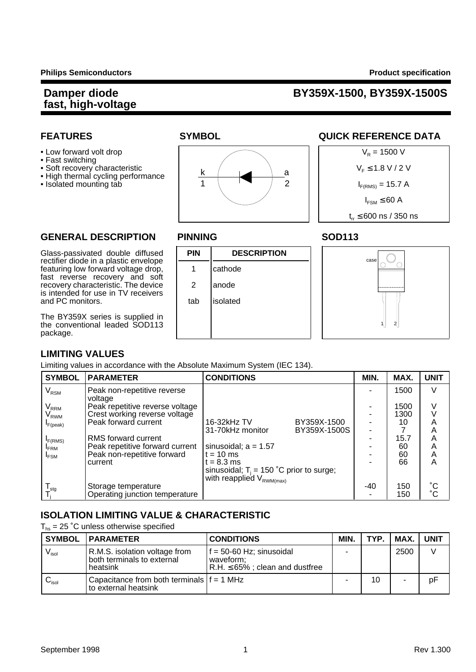#### **Damper diode BY359X-1500, BY359X-1500S**

- 
- Fast switching
- 
- High thermal cycling performance

rectifier diode in a plastic envelope

fast reverse recovery and soft

is intended for use in TV receivers

The BY359X series is supplied in the conventional leaded SOD113





#### **FEATURES SYMBOL SYMBOL QUICK REFERENCE DATA**



#### **GENERAL DESCRIPTION PINNING SOD113**

### Glass-passivated double diffused **PIN DESCRIPTION** featuring low forward voltage drop,  $\begin{array}{|c|c|c|c|c|} \hline \end{array}$  athode recovery characteristic. The device  $\begin{array}{|c|c|c|c|c|c|} \hline \end{array}$  2 | anode and PC monitors.



#### **LIMITING VALUES**

package.

Limiting values in accordance with the Absolute Maximum System (IEC 134).

| <b>SYMBOL</b>                     | <b>PARAMETER</b>                                                 | <b>CONDITIONS</b>                                                                                  |                             | MIN. | MAX.         | <b>UNIT</b>                     |
|-----------------------------------|------------------------------------------------------------------|----------------------------------------------------------------------------------------------------|-----------------------------|------|--------------|---------------------------------|
| $V_{\rm RSM}$                     | Peak non-repetitive reverse<br>voltage                           |                                                                                                    |                             |      | 1500         | V                               |
| $\mathsf{V}_{\mathsf{RRM}}$       | Peak repetitive reverse voltage<br>Crest working reverse voltage |                                                                                                    |                             |      | 1500<br>1300 | V                               |
| V <sub>RWM</sub><br>$I_{F(peak)}$ | Peak forward current                                             | 16-32kHz TV<br>31-70kHz monitor                                                                    | BY359X-1500<br>BY359X-1500S |      | 10           | Α<br>A                          |
| I <sub>F(RMS)</sub>               | RMS forward current                                              |                                                                                                    |                             |      | 15.7         | Α                               |
| <b>FRM</b><br><sup>I</sup> FSM    | Peak repetitive forward current<br>Peak non-repetitive forward   | sinusoidal; $a = 1.57$<br>$t = 10$ ms                                                              |                             |      | 60<br>60     | A<br>A                          |
|                                   | current                                                          | $t = 8.3$ ms<br>sinusoidal; $T_i = 150$ °C prior to surge;<br>with reapplied V <sub>RWM(max)</sub> |                             |      | 66           | Α                               |
| $\mathsf{I}_{\mathsf{stq}}$       | Storage temperature<br>Operating junction temperature            |                                                                                                    |                             | -40  | 150<br>150   | $\rm ^{\circ}C$<br>$^{\circ}$ C |

#### **ISOLATION LIMITING VALUE & CHARACTERISTIC**

 $T_{hs}$  = 25 °C unless otherwise specified

| SYMBOL                       | <b>IPARAMETER</b>                                                       | <b>CONDITIONS</b>                                                                | MIN. | TYP. | MAX. I | <b>UNIT</b> |
|------------------------------|-------------------------------------------------------------------------|----------------------------------------------------------------------------------|------|------|--------|-------------|
| $V_{\mathsf{isol}}$          | R.M.S. isolation voltage from<br>both terminals to external<br>heatsink | $f = 50-60$ Hz; sinusoidal<br>waveform:<br>$R.H. \leq 65\%$ ; clean and dustfree |      |      | 2500   |             |
| $\mathbf{C}_{\mathsf{isol}}$ | Capacitance from both terminals $ f = 1$ MHz<br>to external heatsink    |                                                                                  |      | 10   | ۰      | pF          |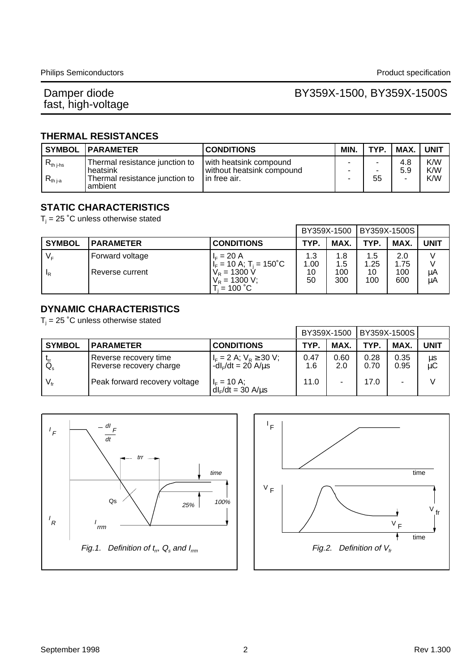# Damper diode<br>fast, high-voltage

#### BY359X-1500, BY359X-1500S

#### **THERMAL RESISTANCES**

|                                | <b>SYMBOL   PARAMETER</b>                                                               | <b>CONDITIONS</b>                                                      | MIN. | TYP.    | MAX.       | <b>UNIT</b>       |
|--------------------------------|-----------------------------------------------------------------------------------------|------------------------------------------------------------------------|------|---------|------------|-------------------|
| $R_{th\ j-hs}$<br>$R_{th\,ia}$ | Thermal resistance junction to<br>heatsink<br>Thermal resistance junction to<br>ambient | with heatsink compound<br>l without heatsink compound.<br>In free air. | -    | -<br>55 | 4.8<br>5.9 | K/W<br>K/W<br>K/W |

#### **STATIC CHARACTERISTICS**

 $T_i$  = 25 °C unless otherwise stated

|                |                  | BY359X-1500                                                      |             | BY359X-1500S   |             |             |             |
|----------------|------------------|------------------------------------------------------------------|-------------|----------------|-------------|-------------|-------------|
| <b>SYMBOL</b>  | <b>PARAMETER</b> | <b>CONDITIONS</b>                                                | TYP.        | MAX.           | <b>TYP</b>  | MAX.        | <b>UNIT</b> |
| $V_{\rm F}$    | Forward voltage  | $I_F = 20 A$<br>$I_F = 10 \text{ A}; T_i = 150^{\circ} \text{C}$ | 1.3<br>.00. | 1.8<br>$1.5\,$ | 1.5<br>1.25 | 2.0<br>1.75 |             |
| <sup>I</sup> R | Reverse current  | $V_R = 1300 \text{ V}$<br>$V_R$ = 1300 V;<br>$T_i = 100 °C$      | 10<br>50    | 100<br>300     | 10<br>100   | 100<br>600  | μA<br>μA    |

#### **DYNAMIC CHARACTERISTICS**

 $T_i$  = 25 °C unless otherwise stated

|                 |                                                  |                                                        | BY359X-1500 |             | BY359X-1500S |              |             |
|-----------------|--------------------------------------------------|--------------------------------------------------------|-------------|-------------|--------------|--------------|-------------|
| <b>SYMBOL</b>   | <b>PARAMETER</b>                                 | <b>CONDITIONS</b>                                      | TYP.        | <b>MAX</b>  | TYP.         | MAX.         | <b>UNIT</b> |
| $Q_{\rm s}$     | Reverse recovery time<br>Reverse recovery charge | $I_F = 2$ A; $V_R \ge 30$ V;<br>$-dIF/dt = 20 A/us$    | 0.47<br>1.6 | 0.60<br>2.0 | 0.28<br>0.70 | 0.35<br>0.95 | μs<br>μC    |
| $V_{\text{fr}}$ | Peak forward recovery voltage                    | $I_F = 10 \text{ A};$<br>dl <sub>e</sub> /dt = 30 A/µs | 11.0        |             | 17.0         |              |             |



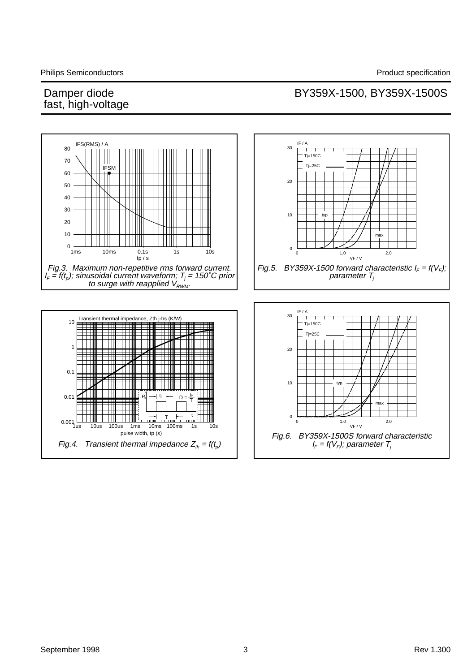# Damper diode<br>fast, high-voltage

#### BY359X-1500, BY359X-1500S

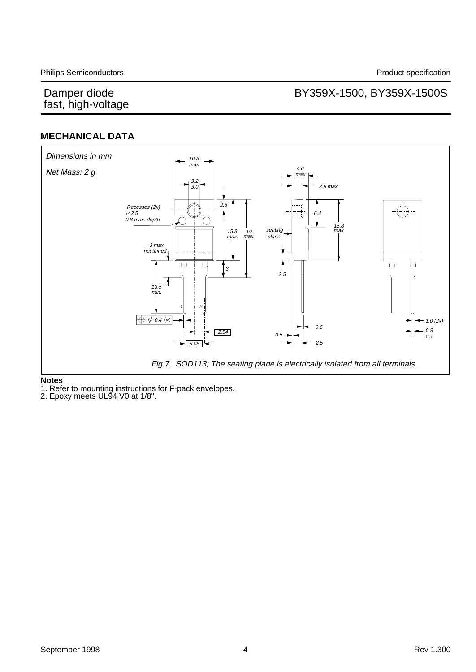# Damper diode<br>fast, high-voltage

### BY359X-1500, BY359X-1500S

#### **MECHANICAL DATA**



#### **Notes**

1. Refer to mounting instructions for F-pack envelopes.

2. Epoxy meets UL94 V0 at 1/8".